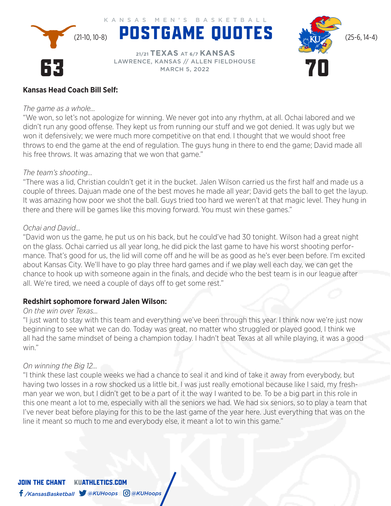

 **21/21 TEXAS** AT **6/7 KANSAS** LAWRENCE, KANSAS // ALLEN FIELDHOUSE MARCH 5, 2022



# **Kansas Head Coach Bill Self:**

#### *The game as a whole…*

"We won, so let's not apologize for winning. We never got into any rhythm, at all. Ochai labored and we didn't run any good offense. They kept us from running our stuff and we got denied. It was ugly but we won it defensively; we were much more competitive on that end. I thought that we would shoot free throws to end the game at the end of regulation. The guys hung in there to end the game; David made all his free throws. It was amazing that we won that game."

# *The team's shooting…*

"There was a lid, Christian couldn't get it in the bucket. Jalen Wilson carried us the first half and made us a couple of threes. Dajuan made one of the best moves he made all year; David gets the ball to get the layup. It was amazing how poor we shot the ball. Guys tried too hard we weren't at that magic level. They hung in there and there will be games like this moving forward. You must win these games."

# *Ochai and David…*

"David won us the game, he put us on his back, but he could've had 30 tonight. Wilson had a great night on the glass. Ochai carried us all year long, he did pick the last game to have his worst shooting performance. That's good for us, the lid will come off and he will be as good as he's ever been before. I'm excited about Kansas City. We'll have to go play three hard games and if we play well each day, we can get the chance to hook up with someone again in the finals, and decide who the best team is in our league after all. We're tired, we need a couple of days off to get some rest."

# **Redshirt sophomore forward Jalen Wilson:**

## *On the win over Texas…*

"I just want to stay with this team and everything we've been through this year. I think now we're just now beginning to see what we can do. Today was great, no matter who struggled or played good, I think we all had the same mindset of being a champion today. I hadn't beat Texas at all while playing, it was a good win."

## *On winning the Big 12…*

"I think these last couple weeks we had a chance to seal it and kind of take it away from everybody, but having two losses in a row shocked us a little bit. I was just really emotional because like I said, my freshman year we won, but I didn't get to be a part of it the way I wanted to be. To be a big part in this role in this one meant a lot to me, especially with all the seniors we had. We had six seniors, so to play a team that I've never beat before playing for this to be the last game of the year here. Just everything that was on the line it meant so much to me and everybody else, it meant a lot to win this game."